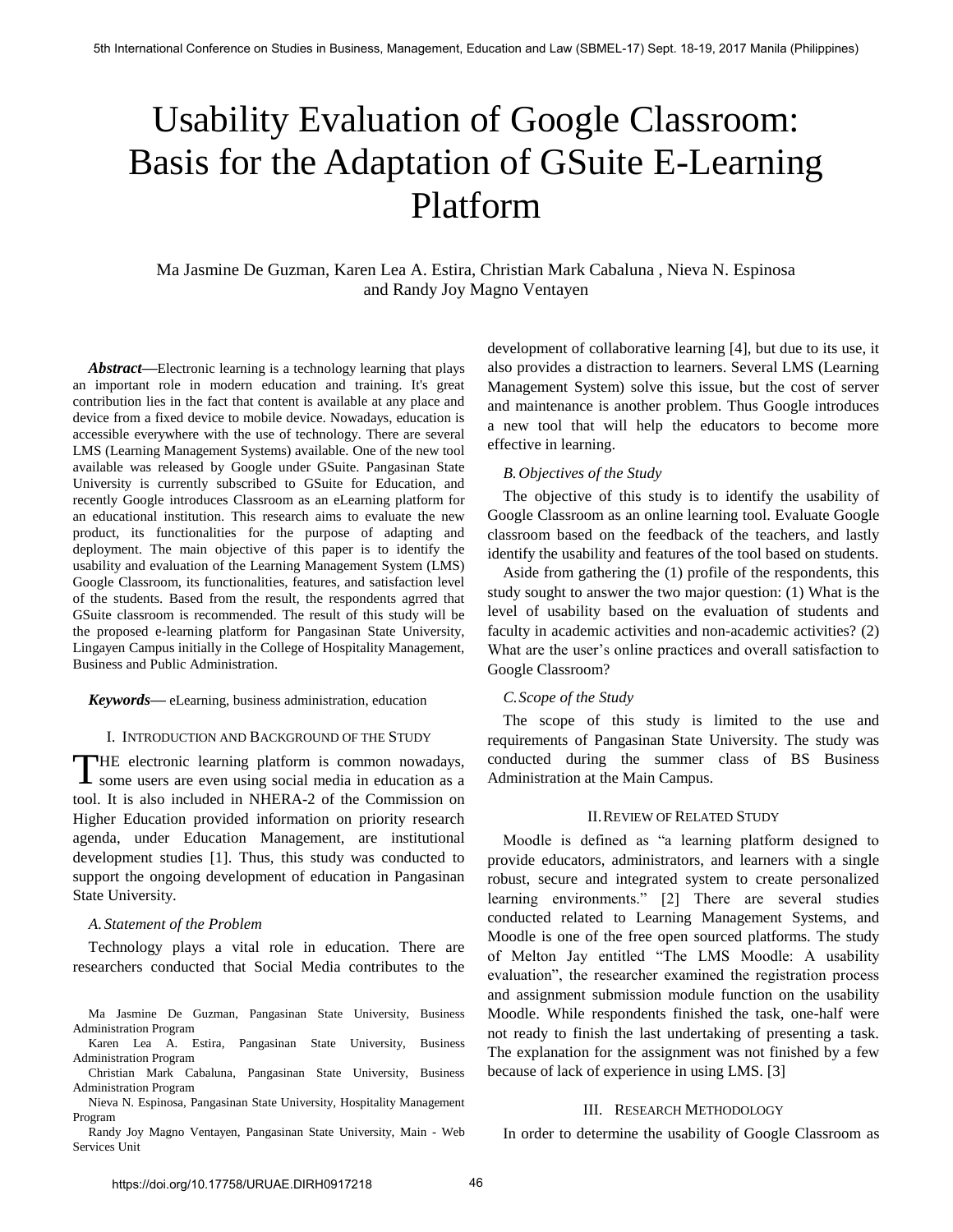# Usability Evaluation of Google Classroom: Basis for the Adaptation of GSuite E-Learning Platform

Ma Jasmine De Guzman, Karen Lea A. Estira, Christian Mark Cabaluna , Nieva N. Espinosa and Randy Joy Magno Ventayen

*Abstract***—**Electronic learning is a technology learning that plays an important role in modern education and training. It's great contribution lies in the fact that content is available at any place and device from a fixed device to mobile device. Nowadays, education is accessible everywhere with the use of technology. There are several LMS (Learning Management Systems) available. One of the new tool available was released by Google under GSuite. Pangasinan State University is currently subscribed to GSuite for Education, and recently Google introduces Classroom as an eLearning platform for an educational institution. This research aims to evaluate the new product, its functionalities for the purpose of adapting and deployment. The main objective of this paper is to identify the usability and evaluation of the Learning Management System (LMS) Google Classroom, its functionalities, features, and satisfaction level of the students. Based from the result, the respondents agrred that GSuite classroom is recommended. The result of this study will be the proposed e-learning platform for Pangasinan State University, Lingayen Campus initially in the College of Hospitality Management, Business and Public Administration.

#### *Keywords***—** eLearning, business administration, education

#### I. INTRODUCTION AND BACKGROUND OF THE STUDY

THE electronic learning platform is common nowadays, THE electronic learning platform is common nowadays, some users are even using social media in education as a tool. It is also included in NHERA-2 of the Commission on Higher Education provided information on priority research agenda, under Education Management, are institutional development studies [1]. Thus, this study was conducted to support the ongoing development of education in Pangasinan State University.

#### *A. Statement of the Problem*

Technology plays a vital role in education. There are researchers conducted that Social Media contributes to the

Ma Jasmine De Guzman, Pangasinan State University, Business Administration Program

Karen Lea A. Estira, Pangasinan State University, Business Administration Program

Christian Mark Cabaluna, Pangasinan State University, Business Administration Program

Nieva N. Espinosa, Pangasinan State University, Hospitality Management Program

Randy Joy Magno Ventayen, Pangasinan State University, Main - Web Services Unit

development of collaborative learning [4], but due to its use, it also provides a distraction to learners. Several LMS (Learning Management System) solve this issue, but the cost of server and maintenance is another problem. Thus Google introduces a new tool that will help the educators to become more effective in learning.

# *B.Objectives of the Study*

The objective of this study is to identify the usability of Google Classroom as an online learning tool. Evaluate Google classroom based on the feedback of the teachers, and lastly identify the usability and features of the tool based on students.

Aside from gathering the (1) profile of the respondents, this study sought to answer the two major question: (1) What is the level of usability based on the evaluation of students and faculty in academic activities and non-academic activities? (2) What are the user's online practices and overall satisfaction to Google Classroom?

#### *C.Scope of the Study*

The scope of this study is limited to the use and requirements of Pangasinan State University. The study was conducted during the summer class of BS Business Administration at the Main Campus.

#### II.REVIEW OF RELATED STUDY

Moodle is defined as "a learning platform designed to provide educators, administrators, and learners with a single robust, secure and integrated system to create personalized learning environments." [2] There are several studies conducted related to Learning Management Systems, and Moodle is one of the free open sourced platforms. The study of Melton Jay entitled "The LMS Moodle: A usability evaluation", the researcher examined the registration process and assignment submission module function on the usability Moodle. While respondents finished the task, one-half were not ready to finish the last undertaking of presenting a task. The explanation for the assignment was not finished by a few because of lack of experience in using LMS. [3]

# III. RESEARCH METHODOLOGY

In order to determine the usability of Google Classroom as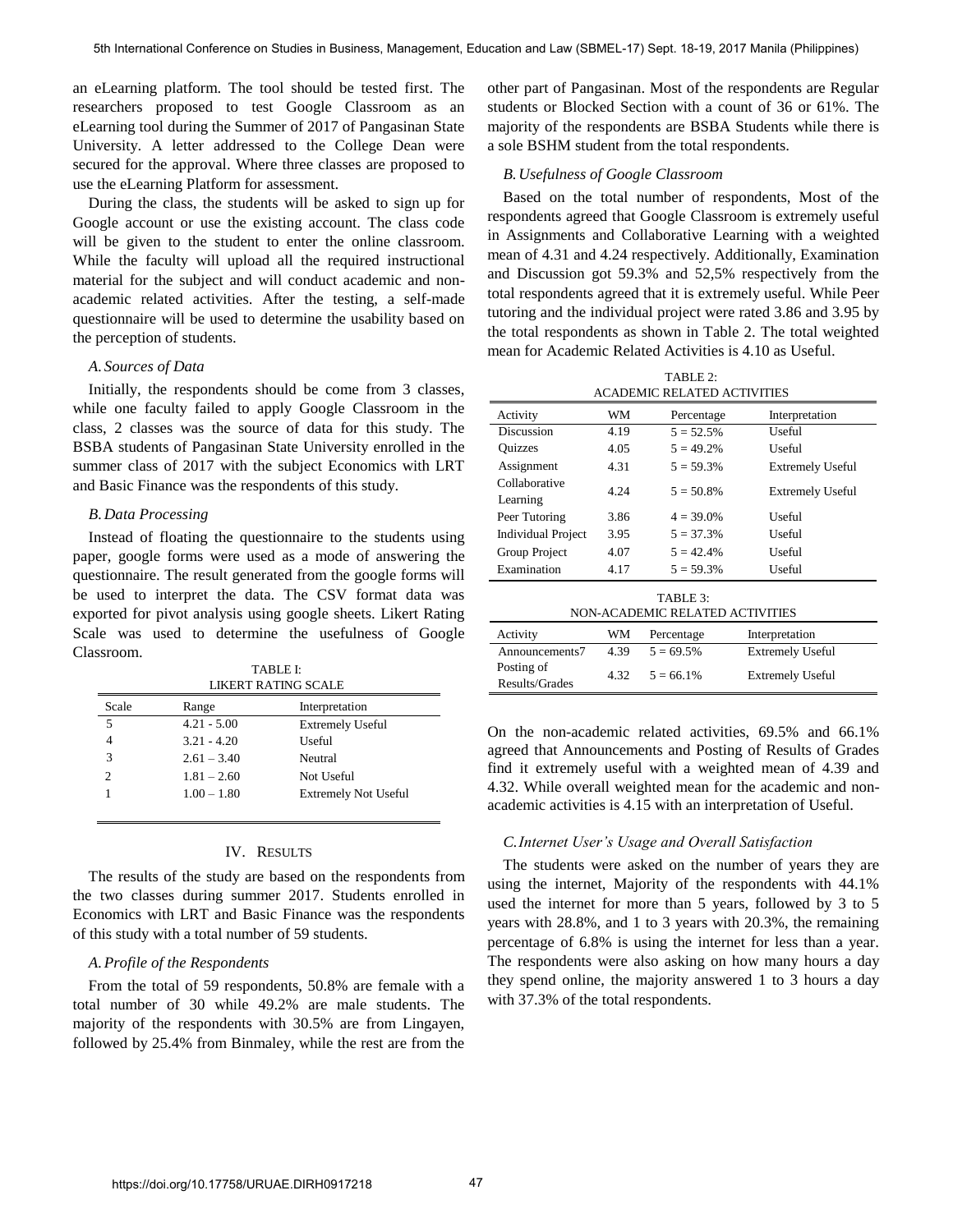an eLearning platform. The tool should be tested first. The researchers proposed to test Google Classroom as an eLearning tool during the Summer of 2017 of Pangasinan State University. A letter addressed to the College Dean were secured for the approval. Where three classes are proposed to use the eLearning Platform for assessment.

During the class, the students will be asked to sign up for Google account or use the existing account. The class code will be given to the student to enter the online classroom. While the faculty will upload all the required instructional material for the subject and will conduct academic and nonacademic related activities. After the testing, a self-made questionnaire will be used to determine the usability based on the perception of students.

# *A. Sources of Data*

Initially, the respondents should be come from 3 classes, while one faculty failed to apply Google Classroom in the class, 2 classes was the source of data for this study. The BSBA students of Pangasinan State University enrolled in the summer class of 2017 with the subject Economics with LRT and Basic Finance was the respondents of this study.

# *B.Data Processing*

Instead of floating the questionnaire to the students using paper, google forms were used as a mode of answering the questionnaire. The result generated from the google forms will be used to interpret the data. The CSV format data was exported for pivot analysis using google sheets. Likert Rating Scale was used to determine the usefulness of Google Classroom.

| TABLE I:                   |
|----------------------------|
| <b>LIKERT RATING SCALE</b> |

| Scale | Range         | Interpretation              |
|-------|---------------|-----------------------------|
| 5     | $4.21 - 5.00$ | <b>Extremely Useful</b>     |
|       | $3.21 - 4.20$ | Useful                      |
| 3     | $2.61 - 3.40$ | Neutral                     |
|       | $1.81 - 2.60$ | Not Useful                  |
|       | $1.00 - 1.80$ | <b>Extremely Not Useful</b> |
|       |               |                             |

#### IV. RESULTS

The results of the study are based on the respondents from the two classes during summer 2017. Students enrolled in Economics with LRT and Basic Finance was the respondents of this study with a total number of 59 students.

#### *A.Profile of the Respondents*

From the total of 59 respondents, 50.8% are female with a total number of 30 while 49.2% are male students. The majority of the respondents with 30.5% are from Lingayen, followed by 25.4% from Binmaley, while the rest are from the

other part of Pangasinan. Most of the respondents are Regular students or Blocked Section with a count of 36 or 61%. The majority of the respondents are BSBA Students while there is a sole BSHM student from the total respondents.

#### *B.Usefulness of Google Classroom*

Based on the total number of respondents, Most of the respondents agreed that Google Classroom is extremely useful in Assignments and Collaborative Learning with a weighted mean of 4.31 and 4.24 respectively. Additionally, Examination and Discussion got 59.3% and 52,5% respectively from the total respondents agreed that it is extremely useful. While Peer tutoring and the individual project were rated 3.86 and 3.95 by the total respondents as shown in Table 2. The total weighted mean for Academic Related Activities is 4.10 as Useful.

| TABLE 2:<br><b>ACADEMIC RELATED ACTIVITIES</b> |      |              |                         |  |  |
|------------------------------------------------|------|--------------|-------------------------|--|--|
|                                                |      |              |                         |  |  |
| Activity                                       | WM   | Percentage   | Interpretation          |  |  |
| Discussion                                     | 4.19 | $5 = 52.5%$  | Useful                  |  |  |
| <b>Ouizzes</b>                                 | 4.05 | $5 = 49.2\%$ | Useful                  |  |  |
| Assignment                                     | 4.31 | $5 = 59.3\%$ | <b>Extremely Useful</b> |  |  |
| Collaborative                                  | 4.24 | $5 = 50.8\%$ | <b>Extremely Useful</b> |  |  |
| Learning                                       |      |              |                         |  |  |
| Peer Tutoring                                  | 3.86 | $4 = 39.0\%$ | Useful                  |  |  |
| <b>Individual Project</b>                      | 3.95 | $5 = 37.3%$  | Useful                  |  |  |
| Group Project                                  | 4.07 | $5 = 42.4\%$ | Useful                  |  |  |
| Examination                                    | 4.17 | $5 = 59.3\%$ | Useful                  |  |  |
| TABLE 3:                                       |      |              |                         |  |  |

| 1700 J.<br>NON-ACADEMIC RELATED ACTIVITIES |      |              |                         |  |  |
|--------------------------------------------|------|--------------|-------------------------|--|--|
| Activity                                   | WМ   | Percentage   | Interpretation          |  |  |
| Announcements7                             | 4.39 | $5 = 69.5\%$ | <b>Extremely Useful</b> |  |  |
| Posting of<br>Results/Grades               | 4.32 | $5 = 66.1\%$ | <b>Extremely Useful</b> |  |  |

On the non-academic related activities, 69.5% and 66.1% agreed that Announcements and Posting of Results of Grades find it extremely useful with a weighted mean of 4.39 and 4.32. While overall weighted mean for the academic and nonacademic activities is 4.15 with an interpretation of Useful.

#### *C.Internet User's Usage and Overall Satisfaction*

The students were asked on the number of years they are using the internet, Majority of the respondents with 44.1% used the internet for more than 5 years, followed by 3 to 5 years with 28.8%, and 1 to 3 years with 20.3%, the remaining percentage of 6.8% is using the internet for less than a year. The respondents were also asking on how many hours a day they spend online, the majority answered 1 to 3 hours a day with 37.3% of the total respondents.